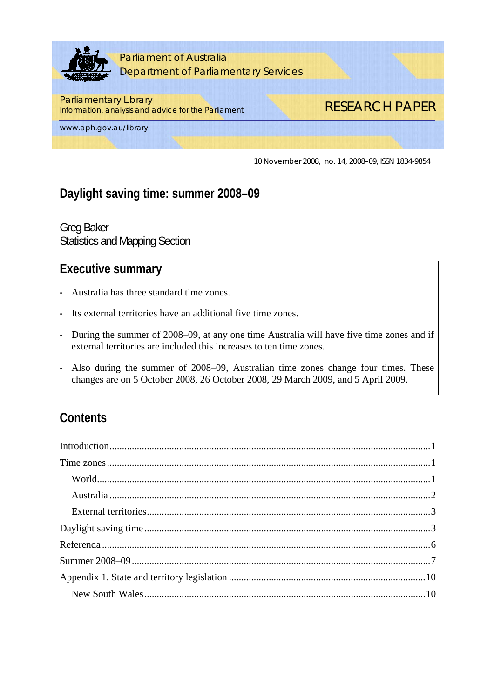

10 November 2008, no. 14, 2008–09, ISSN 1834-9854

# **Daylight saving time: summer 2008–09**

Greg Baker Statistics and Mapping Section

## **Executive summary**

- Australia has three standard time zones.
- Its external territories have an additional five time zones.
- During the summer of 2008–09, at any one time Australia will have five time zones and if external territories are included this increases to ten time zones.
- Also during the summer of 2008–09, Australian time zones change four times. These changes are on 5 October 2008, 26 October 2008, 29 March 2009, and 5 April 2009.

# **Contents**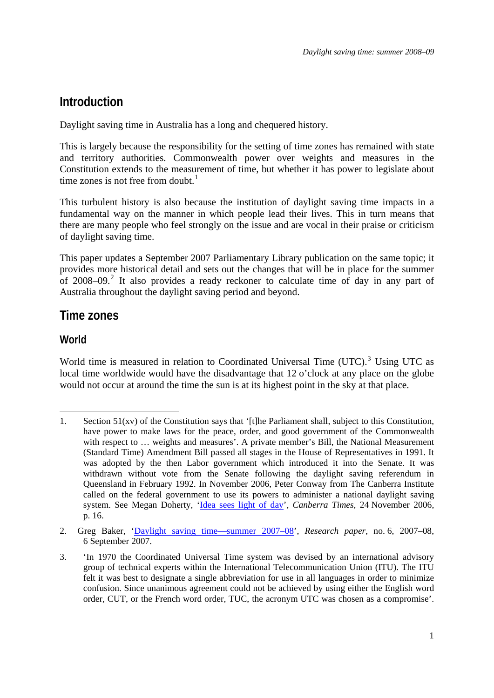### <span id="page-2-0"></span>**Introduction**

Daylight saving time in Australia has a long and chequered history.

This is largely because the responsibility for the setting of time zones has remained with state and territory authorities. Commonwealth power over weights and measures in the Constitution extends to the measurement of time, but whether it has power to legislate about time zones is not free from doubt. $<sup>1</sup>$  $<sup>1</sup>$  $<sup>1</sup>$ </sup>

This turbulent history is also because the institution of daylight saving time impacts in a fundamental way on the manner in which people lead their lives. This in turn means that there are many people who feel strongly on the issue and are vocal in their praise or criticism of daylight saving time.

This paper updates a September 2007 Parliamentary Library publication on the same topic; it provides more historical detail and sets out the changes that will be in place for the summer of [2](#page-2-2)008–09.<sup>2</sup> It also provides a ready reckoner to calculate time of day in any part of Australia throughout the daylight saving period and beyond.

### **Time zones**

### **World**

World time is measured in relation to Coordinated Universal Time  $(UTC)$ .<sup>[3](#page-2-3)</sup> Using UTC as local time worldwide would have the disadvantage that 12 o'clock at any place on the globe would not occur at around the time the sun is at its highest point in the sky at that place.

<sup>1</sup> 1. Section 51(xv) of the Constitution says that '[t]he Parliament shall, subject to this Constitution, have power to make laws for the peace, order, and good government of the Commonwealth with respect to ... weights and measures'. A private member's Bill, the National Measurement (Standard Time) Amendment Bill passed all stages in the House of Representatives in 1991. It was adopted by the then Labor government which introduced it into the Senate. It was withdrawn without vote from the Senate following the daylight saving referendum in Queensland in February 1992. In November 2006, Peter Conway from The Canberra Institute called on the federal government to use its powers to administer a national daylight saving system. See Megan Doherty, ['Idea sees light of day'](http://parlinfo/parlInfo/search/display/display.w3p;adv=yes;db=;group=;holdingType=;id=;orderBy=customrank;page=0;query=Id%3A%22media%2Fpressclp%2FS2KL6%22;querytype=;rec=0;resCount=Default), *Canberra Times*, 24 November 2006, p. 16.

<sup>2.</sup> Greg Baker, '[Daylight saving time—summer 2007–08](http://www.aph.gov.au/library/pubs/rp/2007-08/08rp06.pdf)', *Research paper*, no. 6, 2007–08, 6 September 2007.

<span id="page-2-3"></span><span id="page-2-2"></span><span id="page-2-1"></span><sup>3. &#</sup>x27;In 1970 the Coordinated Universal Time system was devised by an international advisory group of technical experts within the International Telecommunication Union (ITU). The ITU felt it was best to designate a single abbreviation for use in all languages in order to minimize confusion. Since unanimous agreement could not be achieved by using either the English word order, CUT, or the French word order, TUC, the acronym UTC was chosen as a compromise'.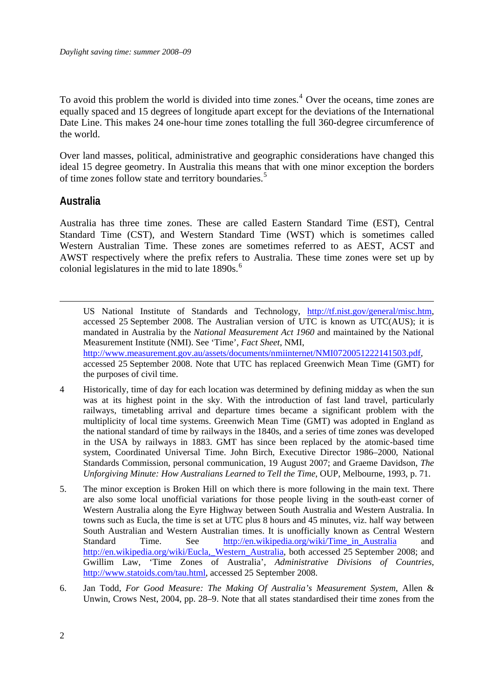<span id="page-3-0"></span>To avoid this problem the world is divided into time zones.<sup>[4](#page-3-1)</sup> Over the oceans, time zones are equally spaced and 15 degrees of longitude apart except for the deviations of the International Date Line. This makes 24 one-hour time zones totalling the full 360-degree circumference of the world.

Over land masses, political, administrative and geographic considerations have changed this ideal 15 degree geometry. In Australia this means that with one minor exception the borders of time zones follow state and territory boundaries.<sup>[5](#page-3-2)</sup>

#### **Australia**

<u>.</u>

Australia has three time zones. These are called Eastern Standard Time (EST), Central Standard Time (CST), and Western Standard Time (WST) which is sometimes called Western Australian Time. These zones are sometimes referred to as AEST, ACST and AWST respectively where the prefix refers to Australia. These time zones were set up by colonial legislatures in the mid to late  $1890s$ .<sup>[6](#page-3-3)</sup>

US National Institute of Standards and Technology, [http://tf.nist.gov/general/misc.htm,](http://tf.nist.gov/general/misc.htm) accessed 25 September 2008. The Australian version of UTC is known as UTC(AUS); it is mandated in Australia by the *National Measurement Act 1960* and maintained by the National Measurement Institute (NMI). See 'Time', *Fact Sheet*, NMI, <http://www.measurement.gov.au/assets/documents/nmiinternet/NMI0720051222141503.pdf>, accessed 25 September 2008. Note that UTC has replaced Greenwich Mean Time (GMT) for the purposes of civil time.

- <span id="page-3-1"></span>4 Historically, time of day for each location was determined by defining midday as when the sun was at its highest point in the sky. With the introduction of fast land travel, particularly railways, timetabling arrival and departure times became a significant problem with the multiplicity of local time systems. Greenwich Mean Time (GMT) was adopted in England as the national standard of time by railways in the 1840s, and a series of time zones was developed in the USA by railways in 1883. GMT has since been replaced by the atomic-based time system, Coordinated Universal Time. John Birch, Executive Director 1986–2000, National Standards Commission, personal communication, 19 August 2007; and Graeme Davidson, *The Unforgiving Minute: How Australians Learned to Tell the Time*, OUP, Melbourne, 1993, p. 71.
- <span id="page-3-2"></span>5. The minor exception is Broken Hill on which there is more following in the main text. There are also some local unofficial variations for those people living in the south-east corner of Western Australia along the Eyre Highway between South Australia and Western Australia. In towns such as Eucla, the time is set at UTC plus 8 hours and 45 minutes, viz. half way between South Australian and Western Australian times. It is unofficially known as Central Western Standard Time. See http://en.wikipedia.org/wiki/Time in Australia and [http://en.wikipedia.org/wiki/Eucla,\\_Western\\_Australia,](http://en.wikipedia.org/wiki/Eucla,_Western_Australia) both accessed 25 September 2008; and Gwillim Law, 'Time Zones of Australia', *Administrative Divisions of Countries*, [http://www.statoids.com/tau.html,](http://www.statoids.com/tau.html) accessed 25 September 2008.
- <span id="page-3-3"></span>6. Jan Todd, *For Good Measure: The Making Of Australia's Measurement System*, Allen & Unwin, Crows Nest, 2004, pp. 28–9. Note that all states standardised their time zones from the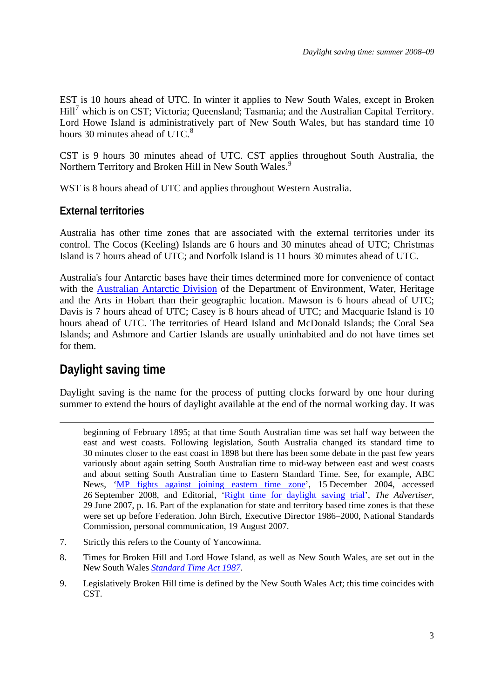<span id="page-4-0"></span>EST is 10 hours ahead of UTC. In winter it applies to New South Wales, except in Broken Hill<sup>[7](#page-4-0)</sup> which is on CST; Victoria; Queensland; Tasmania; and the Australian Capital Territory. Lord Howe Island is administratively part of New South Wales, but has standard time 10 hours 30 minutes ahead of UTC.<sup>[8](#page-4-0)</sup>

CST is 9 hours 30 minutes ahead of UTC. CST applies throughout South Australia, the Northern Territory and Broken Hill in New South Wales.<sup>[9](#page-4-0)</sup>

WST is 8 hours ahead of UTC and applies throughout Western Australia.

### **External territories**

Australia has other time zones that are associated with the external territories under its control. The Cocos (Keeling) Islands are 6 hours and 30 minutes ahead of UTC; Christmas Island is 7 hours ahead of UTC; and Norfolk Island is 11 hours 30 minutes ahead of UTC.

Australia's four Antarctic bases have their times determined more for convenience of contact with the [Australian Antarctic Division](http://www.aad.gov.au/) of the Department of Environment, Water, Heritage and the Arts in Hobart than their geographic location. Mawson is 6 hours ahead of UTC; Davis is 7 hours ahead of UTC; Casey is 8 hours ahead of UTC; and Macquarie Island is 10 hours ahead of UTC. The territories of Heard Island and McDonald Islands; the Coral Sea Islands; and Ashmore and Cartier Islands are usually uninhabited and do not have times set for them.

## **Daylight saving time**

1

Daylight saving is the name for the process of putting clocks forward by one hour during summer to extend the hours of daylight available at the end of the normal working day. It was

- 7. Strictly this refers to the County of Yancowinna.
- 8. Times for Broken Hill and Lord Howe Island, as well as New South Wales, are set out in the New South Wales *[Standard Time Act 1987](http://www.legislation.nsw.gov.au/summarize/inforce/s/1/?TITLE=%22Standard%20Time%20Act%201987%20No%20149%22&nohits=y)*.
- 9. Legislatively Broken Hill time is defined by the New South Wales Act; this time coincides with CST.

beginning of February 1895; at that time South Australian time was set half way between the east and west coasts. Following legislation, South Australia changed its standard time to 30 minutes closer to the east coast in 1898 but there has been some debate in the past few years variously about again setting South Australian time to mid-way between east and west coasts and about setting South Australian time to Eastern Standard Time. See, for example, ABC News, '[MP fights against joining eastern time zone](http://www.abc.net.au/news/stories/2004/12/15/1265608.htm)', 15 December 2004, accessed 26 September 2008, and Editorial, '[Right time for daylight saving trial'](http://parlinfo.aph.gov.au/parlInfo/search/display/display.w3p;adv=yes;db=;group=;holdingType=;id=;orderBy=customrank;page=0;query=Id%3A%22media%2Fpressclp%2FZHIN6%22;querytype=;rec=0;resCount=Default), *The Advertiser*, 29 June 2007, p. 16. Part of the explanation for state and territory based time zones is that these were set up before Federation. John Birch, Executive Director 1986–2000, National Standards Commission, personal communication, 19 August 2007.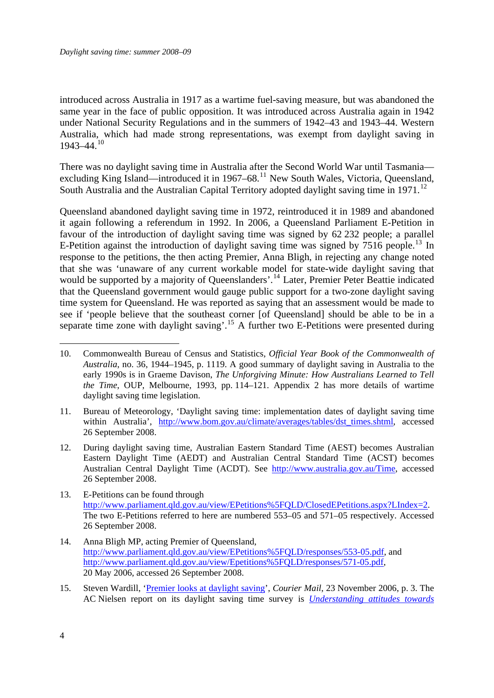<span id="page-5-0"></span>introduced across Australia in 1917 as a wartime fuel-saving measure, but was abandoned the same year in the face of public opposition. It was introduced across Australia again in 1942 under National Security Regulations and in the summers of 1942–43 and 1943–44. Western Australia, which had made strong representations, was exempt from daylight saving in  $1943 - 44$ .<sup>[10](#page-5-0)</sup>

There was no daylight saving time in Australia after the Second World War until Tasmania excluding King Island—introduced it in  $1967-68$ <sup>[11](#page-5-0)</sup> New South Wales, Victoria, Queensland, South Australia and the Australian Capital Territory adopted daylight saving time in  $1971$ .<sup>[12](#page-5-0)</sup>

Queensland abandoned daylight saving time in 1972, reintroduced it in 1989 and abandoned it again following a referendum in 1992. In 2006, a Queensland Parliament E-Petition in favour of the introduction of daylight saving time was signed by 62 232 people; a parallel E-Petition against the introduction of daylight saving time was signed by  $7516$  people.<sup>[13](#page-5-0)</sup> In response to the petitions, the then acting Premier, Anna Bligh, in rejecting any change noted that she was 'unaware of any current workable model for state-wide daylight saving that would be supported by a majority of Queenslanders'.<sup>[14](#page-5-0)</sup> Later, Premier Peter Beattie indicated that the Queensland government would gauge public support for a two-zone daylight saving time system for Queensland. He was reported as saying that an assessment would be made to see if 'people believe that the southeast corner [of Queensland] should be able to be in a separate time zone with daylight saving'.<sup>[15](#page-5-0)</sup> A further two E-Petitions were presented during

11. Bureau of Meteorology, 'Daylight saving time: implementation dates of daylight saving time within Australia', [http://www.bom.gov.au/climate/averages/tables/dst\\_times.shtml](http://www.bom.gov.au/climate/averages/tables/dst_times.shtml), accessed 26 September 2008.

- 12. During daylight saving time, Australian Eastern Standard Time (AEST) becomes Australian Eastern Daylight Time (AEDT) and Australian Central Standard Time (ACST) becomes Australian Central Daylight Time (ACDT). See [http://www.australia.gov.au/Time,](http://www.australia.gov.au/Time) accessed 26 September 2008.
- 13. E-Petitions can be found through [http://www.parliament.qld.gov.au/view/EPetitions%5FQLD/ClosedEPetitions.aspx?LIndex=2.](http://www.parliament.qld.gov.au/view/EPetitions%5FQLD/ClosedEPetitions.aspx?LIndex=2) The two E-Petitions referred to here are numbered 553–05 and 571–05 respectively. Accessed 26 September 2008.
- 14. Anna Bligh MP, acting Premier of Queensland, <http://www.parliament.qld.gov.au/view/EPetitions%5FQLD/responses/553-05.pdf>, and <http://www.parliament.qld.gov.au/view/Epetitions%5FQLD/responses/571-05.pdf>, 20 May 2006, accessed 26 September 2008.
- 15. Steven Wardill, ['Premier looks at daylight saving'](http://parlinfoweb.aph.gov.au/piweb/TranslateWIPILink.aspx?Folder=pressclp&Criteria=CITATION_ID:FAKL6;), *Courier Mail*, 23 November 2006, p. 3. The AC Nielsen report on its daylight saving time survey is *[Understanding attitudes towards](http://www.premiers.qld.gov.au/library/pdf/DS_Full_Report.pdf)*

1

<sup>10.</sup> Commonwealth Bureau of Census and Statistics, *Official Year Book of the Commonwealth of Australia*, no. 36, 1944–1945, p. 1119. A good summary of daylight saving in Australia to the early 1990s is in Graeme Davison, *The Unforgiving Minute: How Australians Learned to Tell the Time*, OUP, Melbourne, 1993, pp. 114–121. Appendix 2 has more details of wartime daylight saving time legislation.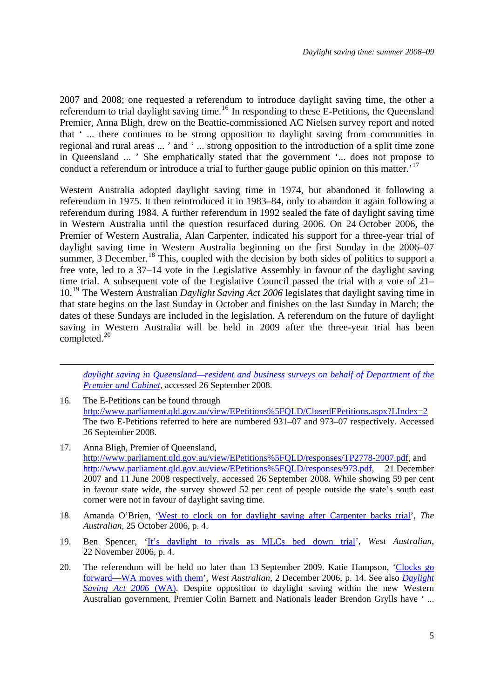<span id="page-6-0"></span>2007 and 2008; one requested a referendum to introduce daylight saving time, the other a referendum to trial daylight saving time.<sup>[16](#page-6-0)</sup> In responding to these E-Petitions, the Queensland Premier, Anna Bligh, drew on the Beattie-commissioned AC Nielsen survey report and noted that ' ... there continues to be strong opposition to daylight saving from communities in regional and rural areas ... ' and ' ... strong opposition to the introduction of a split time zone in Queensland ... ' She emphatically stated that the government '... does not propose to conduct a referendum or introduce a trial to further gauge public opinion on this matter.<sup>[17](#page-6-0)</sup>

Western Australia adopted daylight saving time in 1974, but abandoned it following a referendum in 1975. It then reintroduced it in 1983–84, only to abandon it again following a referendum during 1984. A further referendum in 1992 sealed the fate of daylight saving time in Western Australia until the question resurfaced during 2006. On 24 October 2006, the Premier of Western Australia, Alan Carpenter, indicated his support for a three-year trial of daylight saving time in Western Australia beginning on the first Sunday in the 2006–07 summer, 3 December.<sup>[18](#page-6-0)</sup> This, coupled with the decision by both sides of politics to support a free vote, led to a 37–14 vote in the Legislative Assembly in favour of the daylight saving time trial. A subsequent vote of the Legislative Council passed the trial with a vote of 21– 10.[19](#page-6-0) The Western Australian *Daylight Saving Act 2006* legislates that daylight saving time in that state begins on the last Sunday in October and finishes on the last Sunday in March; the dates of these Sundays are included in the legislation. A referendum on the future of daylight saving in Western Australia will be held in 2009 after the three-year trial has been completed. $^{20}$  $^{20}$  $^{20}$ 

*[daylight saving in Queensland—resident and business surveys on behalf of Department of the](http://www.premiers.qld.gov.au/library/pdf/DS_Full_Report.pdf)  [Premier and Cabinet](http://www.premiers.qld.gov.au/library/pdf/DS_Full_Report.pdf)*, accessed 26 September 2008.

16. The E-Petitions can be found through http://www.parliament.qld.gov.au/view/EPetitions%5FQLD/ClosedEPetitions.aspx?LIndex=2 The two E-Petitions referred to here are numbered 931–07 and 973–07 respectively. Accessed 26 September 2008.

<u>.</u>

- 17. Anna Bligh, Premier of Queensland, <http://www.parliament.qld.gov.au/view/EPetitions%5FQLD/responses/TP2778-2007.pdf>, and <http://www.parliament.qld.gov.au/view/EPetitions%5FQLD/responses/973.pdf>, 21 December 2007 and 11 June 2008 respectively, accessed 26 September 2008. While showing 59 per cent in favour state wide, the survey showed 52 per cent of people outside the state's south east corner were not in favour of daylight saving time.
- 18. Amanda O'Brien, '[West to clock on for daylight saving after Carpenter backs trial'](http://parlinfo.aph.gov.au/parlInfo/search/display/display.w3p;adv=yes;db=;group=;holdingType=;id=;orderBy=customrank;page=0;query=Id%3A%22media%2Fpressclp%2F7Q8L6%22;querytype=;rec=0;resCount=Default), *The Australian*, 25 October 2006, p. 4.
- 19. Ben Spencer, '[It's daylight to rivals as MLCs bed down trial'](http://parlinfoweb.aph.gov.au/piweb/TranslateWIPILink.aspx?Folder=PRESSCLP&Criteria=CITATION_ID:LJJL6;), *West Australian*, 22 November 2006, p. 4.
- 20. The referendum will be held no later than 13 September 2009. Katie Hampson, ['Clocks go](http://parlinfo.aph.gov.au/parlInfo/search/display/display.w3p;adv=yes;db=;group=;holdingType=;id=;orderBy=customrank;page=0;query=Id%3A%22media%2Fpressclp%2FVRNL6%22;querytype=;rec=0;resCount=Default)  [forward—WA moves with them'](http://parlinfo.aph.gov.au/parlInfo/search/display/display.w3p;adv=yes;db=;group=;holdingType=;id=;orderBy=customrank;page=0;query=Id%3A%22media%2Fpressclp%2FVRNL6%22;querytype=;rec=0;resCount=Default), *West Australian*, 2 December 2006, p. 14. See also *[Daylight](http://www.slp.wa.gov.au/pco/prod/FileStore.nsf/Documents/MRDocument:579P/$FILE/DaylightSavingAct2006_00-a0-06.pdf?OpenElement)  [Saving Act 2006](http://www.slp.wa.gov.au/pco/prod/FileStore.nsf/Documents/MRDocument:579P/$FILE/DaylightSavingAct2006_00-a0-06.pdf?OpenElement)* (WA). Despite opposition to daylight saving within the new Western Australian government, Premier Colin Barnett and Nationals leader Brendon Grylls have ' ...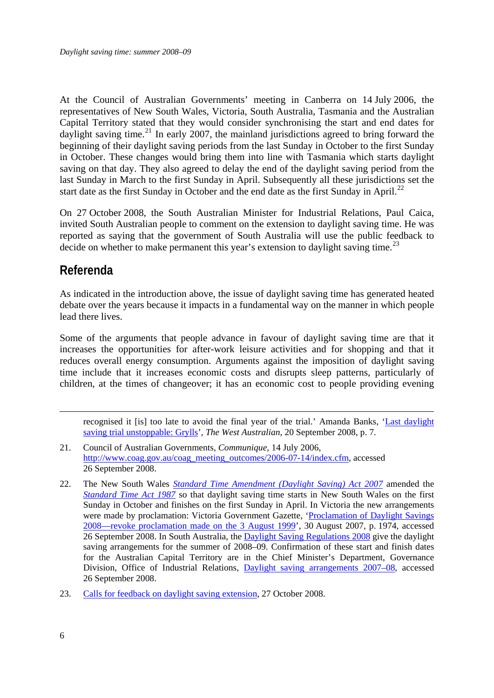<span id="page-7-0"></span>At the Council of Australian Governments' meeting in Canberra on 14 July 2006, the representatives of New South Wales, Victoria, South Australia, Tasmania and the Australian Capital Territory stated that they would consider synchronising the start and end dates for daylight saving time.<sup>[21](#page-7-0)</sup> In early 2007, the mainland jurisdictions agreed to bring forward the beginning of their daylight saving periods from the last Sunday in October to the first Sunday in October. These changes would bring them into line with Tasmania which starts daylight saving on that day. They also agreed to delay the end of the daylight saving period from the last Sunday in March to the first Sunday in April. Subsequently all these jurisdictions set the start date as the first Sunday in October and the end date as the first Sunday in April.<sup>[22](#page-7-0)</sup>

On 27 October 2008, the South Australian Minister for Industrial Relations, Paul Caica, invited South Australian people to comment on the extension to daylight saving time. He was reported as saying that the government of South Australia will use the public feedback to decide on whether to make permanent this year's extension to daylight saving time.<sup>[23](#page-7-0)</sup>

### **Referenda**

As indicated in the introduction above, the issue of daylight saving time has generated heated debate over the years because it impacts in a fundamental way on the manner in which people lead there lives.

Some of the arguments that people advance in favour of daylight saving time are that it increases the opportunities for after-work leisure activities and for shopping and that it reduces overall energy consumption. Arguments against the imposition of daylight saving time include that it increases economic costs and disrupts sleep patterns, particularly of children, at the times of changeover; it has an economic cost to people providing evening

recognised it [is] too late to avoid the final year of the trial.' Amanda Banks, ['Last daylight](http://parlinfo/parlInfo/search/display/display.w3p;adv=yes;db=;group=;holdingType=;id=;orderBy=customrank;page=0;query=Id%3A%22media%2Fpressclp%2FTRLR6%22;querytype=;rec=0;resCount=Default)  [saving trial unstoppable: Grylls'](http://parlinfo/parlInfo/search/display/display.w3p;adv=yes;db=;group=;holdingType=;id=;orderBy=customrank;page=0;query=Id%3A%22media%2Fpressclp%2FTRLR6%22;querytype=;rec=0;resCount=Default), *The West Australian*, 20 September 2008, p. 7.

- 21. Council of Australian Governments, *Communique*, 14 July 2006, [http://www.coag.gov.au/coag\\_meeting\\_outcomes/2006-07-14/index.cfm,](http://www.coag.gov.au/coag_meeting_outcomes/2006-07-14/index.cfm) accessed 26 September 2008.
- 22. The New South Wales *[Standard Time Amendment \(Daylight Saving\) Act 2007](http://www.legislation.nsw.gov.au/summarize/inforce/s/1/?xref=RecordType%3DACTTOC%20AND%20Year%3D2007%20AND%20Actno%3D44&nohits=y)* amended the *[Standard Time Act 1987](http://www.legislation.nsw.gov.au/summarize/inforce/s/1/?xref=RecordType%3DACTTOC%20AND%20Year%3D1987%20AND%20Actno%3D149&nohits=y)* so that daylight saving time starts in New South Wales on the first Sunday in October and finishes on the first Sunday in April. In Victoria the new arrangements were made by proclamation: Victoria Government Gazette, ['Proclamation of Daylight Savings](http://www.gazette.vic.gov.au/Gazettes2007/GG2007G035.pdf)  [2008—revoke proclamation made on the 3 August 1999'](http://www.gazette.vic.gov.au/Gazettes2007/GG2007G035.pdf), 30 August 2007, p. 1974, accessed 26 September 2008. In South Australia, the [Daylight Saving Regulations 2008](http://www.legislation.sa.gov.au/LZ/C/R/DAYLIGHT%20SAVING%20REGULATIONS%202008/CURRENT/2008.241.UN.RTF) give the daylight saving arrangements for the summer of 2008–09. Confirmation of these start and finish dates for the Australian Capital Territory are in the Chief Minister's Department, Governance Division, Office of Industrial Relations, [Daylight saving arrangements 2007–08](http://www.cmd.act.gov.au/__data/assets/pdf_file/0015/2049/daylightsaving2007-08.pdf), accessed 26 September 2008.
- 23. [Calls for feedback on daylight saving extension](http://www.premier.sa.gov.au/news.php?id=3828), 27 October 2008.

1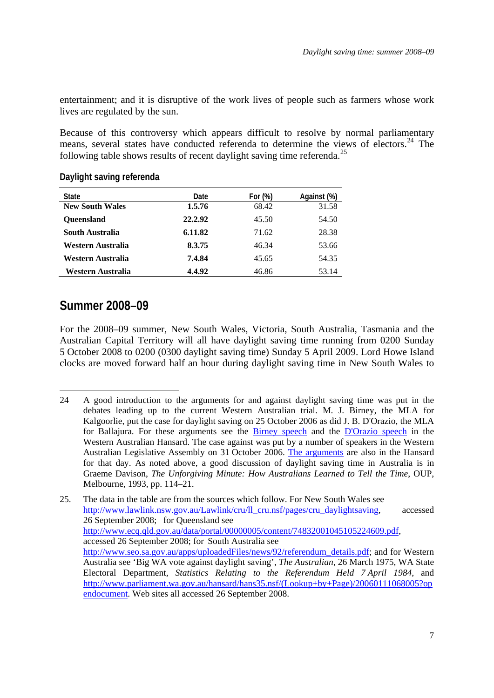<span id="page-8-0"></span>entertainment; and it is disruptive of the work lives of people such as farmers whose work lives are regulated by the sun.

Because of this controversy which appears difficult to resolve by normal parliamentary means, several states have conducted referenda to determine the views of electors.<sup>[24](#page-8-0)</sup> The following table shows results of recent daylight saving time referenda.<sup>[25](#page-8-0)</sup>

| <b>State</b>           | Date    | For $(\%)$ | Against (%) |
|------------------------|---------|------------|-------------|
| <b>New South Wales</b> | 1.5.76  | 68.42      | 31.58       |
| <b>Oueensland</b>      | 22.2.92 | 45.50      | 54.50       |
| South Australia        | 6.11.82 | 71.62      | 28.38       |
| Western Australia      | 8.3.75  | 46.34      | 53.66       |
| Western Australia      | 7.4.84  | 45.65      | 54.35       |
| Western Australia      | 4.4.92  | 46.86      | 53.14       |

#### **Daylight saving referenda**

### **Summer 2008–09**

<u>.</u>

For the 2008–09 summer, New South Wales, Victoria, South Australia, Tasmania and the Australian Capital Territory will all have daylight saving time running from 0200 Sunday 5 October 2008 to 0200 (0300 daylight saving time) Sunday 5 April 2009. Lord Howe Island clocks are moved forward half an hour during daylight saving time in New South Wales to

<sup>24</sup> A good introduction to the arguments for and against daylight saving time was put in the debates leading up to the current Western Australian trial. M. J. Birney, the MLA for Kalgoorlie, put the case for daylight saving on 25 October 2006 as did J. B. D'Orazio, the MLA for Ballajura. For these arguments see the [Birney speech](http://www.parliament.wa.gov.au/hansard/hans35.nsf/NFS/11c7426cfa5c7fe3c825728f0016b5f0?) and the [D'Orazio speech](http://www.parliament.wa.gov.au/hansard/hans35.nsf/NFS/124c2c7e9e90b653c825728f0016b76a?) in the Western Australian Hansard. The case against was put by a number of speakers in the Western Australian Legislative Assembly on 31 October 2006. [The arguments](http://www.parliament.wa.gov.au/hansard/hans35.nsf/NFS/7a74728fd9296ad9c825723d0026b97e?) are also in the Hansard for that day. As noted above, a good discussion of daylight saving time in Australia is in Graeme Davison, *The Unforgiving Minute: How Australians Learned to Tell the Time*, OUP, Melbourne, 1993, pp. 114–21.

<sup>25.</sup> The data in the table are from the sources which follow. For New South Wales see [http://www.lawlink.nsw.gov.au/Lawlink/cru/ll\\_cru.nsf/pages/cru\\_daylightsaving](http://www.lawlink.nsw.gov.au/Lawlink/cru/ll_cru.nsf/pages/cru_daylightsaving), accessed 26 September 2008; for Queensland see [http://www.ecq.qld.gov.au/data/portal/00000005/content/74832001045105224609.pdf,](http://www.ecq.qld.gov.au/data/portal/00000005/content/74832001045105224609.pdf) accessed 26 September 2008; for South Australia see [http://www.seo.sa.gov.au/apps/uploadedFiles/news/92/referendum\\_details.pdf](http://www.seo.sa.gov.au/apps/uploadedFiles/news/92/referendum_details.pdf); and for Western Australia see 'Big WA vote against daylight saving', *The Australian*, 26 March 1975, WA State Electoral Department, *Statistics Relating to the Referendum Held 7 April 1984*, and [http://www.parliament.wa.gov.au/hansard/hans35.nsf/\(Lookup+by+Page\)/20060111068005?op](http://www.parliament.wa.gov.au/hansard/hans35.nsf/(Lookup+by+Page)/20060111068005?opendocument) [endocument](http://www.parliament.wa.gov.au/hansard/hans35.nsf/(Lookup+by+Page)/20060111068005?opendocument). Web sites all accessed 26 September 2008.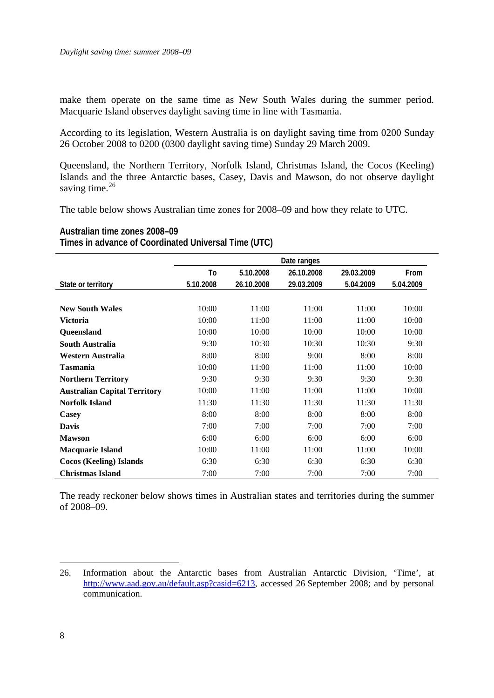<span id="page-9-0"></span>make them operate on the same time as New South Wales during the summer period. Macquarie Island observes daylight saving time in line with Tasmania.

According to its legislation, Western Australia is on daylight saving time from 0200 Sunday 26 October 2008 to 0200 (0300 daylight saving time) Sunday 29 March 2009.

Queensland, the Northern Territory, Norfolk Island, Christmas Island, the Cocos (Keeling) Islands and the three Antarctic bases, Casey, Davis and Mawson, do not observe daylight saving time. $26$ 

The table below shows Australian time zones for 2008–09 and how they relate to UTC.

**Australian time zones 2008–09** 

**Times in advance of Coordinated Universal Time (UTC)** 

|                                     | Date ranges |            |            |            |           |  |
|-------------------------------------|-------------|------------|------------|------------|-----------|--|
|                                     | To          | 5.10.2008  | 26.10.2008 | 29.03.2009 | From      |  |
| State or territory                  | 5.10.2008   | 26.10.2008 | 29.03.2009 | 5.04.2009  | 5.04.2009 |  |
|                                     |             |            |            |            |           |  |
| <b>New South Wales</b>              | 10:00       | 11:00      | 11:00      | 11:00      | 10:00     |  |
| <b>Victoria</b>                     | 10:00       | 11:00      | 11:00      | 11:00      | 10:00     |  |
| Queensland                          | 10:00       | 10:00      | 10:00      | 10:00      | 10:00     |  |
| South Australia                     | 9:30        | 10:30      | 10:30      | 10:30      | 9:30      |  |
| Western Australia                   | 8:00        | 8:00       | 9:00       | 8:00       | 8:00      |  |
| <b>Tasmania</b>                     | 10:00       | 11:00      | 11:00      | 11:00      | 10:00     |  |
| <b>Northern Territory</b>           | 9:30        | 9:30       | 9:30       | 9:30       | 9:30      |  |
| <b>Australian Capital Territory</b> | 10:00       | 11:00      | 11:00      | 11:00      | 10:00     |  |
| <b>Norfolk Island</b>               | 11:30       | 11:30      | 11:30      | 11:30      | 11:30     |  |
| Casey                               | 8:00        | 8:00       | 8:00       | 8:00       | 8:00      |  |
| <b>Davis</b>                        | 7:00        | 7:00       | 7:00       | 7:00       | 7:00      |  |
| <b>Mawson</b>                       | 6:00        | 6:00       | 6:00       | 6:00       | 6:00      |  |
| <b>Macquarie Island</b>             | 10:00       | 11:00      | 11:00      | 11:00      | 10:00     |  |
| <b>Cocos (Keeling) Islands</b>      | 6:30        | 6:30       | 6:30       | 6:30       | 6:30      |  |
| <b>Christmas Island</b>             | 7:00        | 7:00       | 7:00       | 7:00       | 7:00      |  |

The ready reckoner below shows times in Australian states and territories during the summer of 2008–09.

1

<sup>26.</sup> Information about the Antarctic bases from Australian Antarctic Division, 'Time', at [http://www.aad.gov.au/default.asp?casid=6213,](http://www.aad.gov.au/default.asp?casid=6213) accessed 26 September 2008; and by personal communication.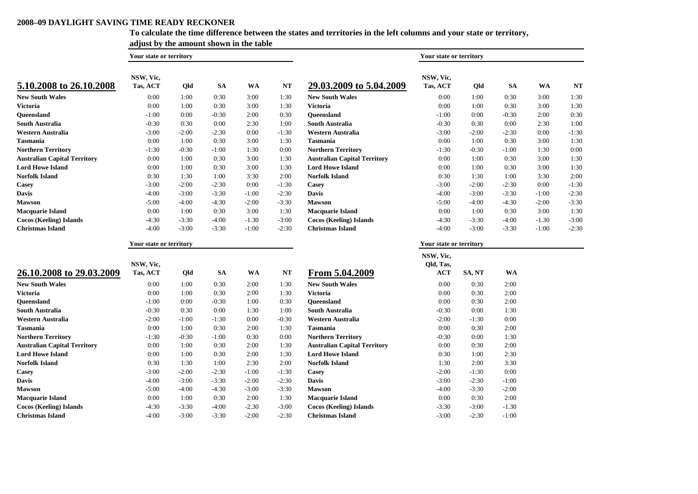#### **2008–09 DAYLIGHT SAVING TIME READY RECKONER**

**Christmas Island**

#### **To calculate the time difference between the states and territories in the left columns and your state or territory,**

|                                     | adjust by the amount shown in the table |            |           |           |                         |                                     |                         |         |           |         |           |
|-------------------------------------|-----------------------------------------|------------|-----------|-----------|-------------------------|-------------------------------------|-------------------------|---------|-----------|---------|-----------|
|                                     | Your state or territory                 |            |           |           | Your state or territory |                                     |                         |         |           |         |           |
| 5.10.2008 to 26.10.2008             | NSW, Vic,<br>Tas, ACT                   | <b>Qld</b> | <b>SA</b> | <b>WA</b> | NT                      | 29.03.2009 to 5.04.2009             | NSW, Vic,<br>Tas, ACT   | Qld     | <b>SA</b> | WA      | <b>NT</b> |
| <b>New South Wales</b>              | 0:00                                    | 1:00       | 0:30      | 3:00      | 1:30                    | <b>New South Wales</b>              | 0:00                    | 1:00    | 0:30      | 3:00    | 1:30      |
| Victoria                            | 0:00                                    | 1:00       | 0:30      | 3:00      | 1:30                    | <b>Victoria</b>                     | 0:00                    | 1:00    | 0:30      | 3:00    | 1:30      |
| Queensland                          | $-1:00$                                 | 0:00       | $-0:30$   | 2:00      | 0:30                    | <b>Oueensland</b>                   | $-1:00$                 | 0:00    | $-0:30$   | 2:00    | 0:30      |
| South Australia                     | $-0:30$                                 | 0:30       | 0:00      | 2:30      | 1:00                    | <b>South Australia</b>              | $-0:30$                 | 0:30    | 0:00      | 2:30    | 1:00      |
| Western Australia                   | $-3:00$                                 | $-2:00$    | $-2:30$   | 0:00      | $-1:30$                 | Western Australia                   | $-3:00$                 | $-2:00$ | $-2:30$   | 0:00    | $-1:30$   |
| Tasmania                            | 0:00                                    | 1:00       | 0:30      | 3:00      | 1:30                    | <b>Tasmania</b>                     | 0:00                    | 1:00    | 0:30      | 3:00    | 1:30      |
| <b>Northern Territory</b>           | $-1:30$                                 | $-0:30$    | $-1:00$   | 1:30      | 0:00                    | <b>Northern Territory</b>           | $-1:30$                 | $-0:30$ | $-1:00$   | 1:30    | 0:00      |
| <b>Australian Capital Territory</b> | 0:00                                    | 1:00       | 0:30      | 3:00      | 1:30                    | <b>Australian Capital Territory</b> | 0:00                    | 1:00    | 0:30      | 3:00    | 1:30      |
| <b>Lord Howe Island</b>             | 0:00                                    | 1:00       | 0:30      | 3:00      | 1:30                    | <b>Lord Howe Island</b>             | 0:00                    | 1:00    | 0:30      | 3:00    | 1:30      |
| Norfolk Island                      | 0:30                                    | 1:30       | 1:00      | 3:30      | 2:00                    | <b>Norfolk Island</b>               | 0:30                    | 1:30    | 1:00      | 3:30    | 2:00      |
| Casey                               | $-3:00$                                 | $-2:00$    | $-2:30$   | 0:00      | $-1:30$                 | Casey                               | $-3:00$                 | $-2:00$ | $-2:30$   | 0:00    | $-1:30$   |
| Davis                               | $-4:00$                                 | $-3:00$    | $-3:30$   | $-1:00$   | $-2:30$                 | <b>Davis</b>                        | $-4:00$                 | $-3:00$ | $-3:30$   | $-1:00$ | $-2:30$   |
| Mawson                              | $-5:00$                                 | $-4:00$    | $-4:30$   | $-2:00$   | $-3:30$                 | <b>Mawson</b>                       | $-5:00$                 | $-4:00$ | $-4:30$   | $-2:00$ | $-3:30$   |
| Macquarie Island                    | 0:00                                    | 1:00       | 0:30      | 3:00      | 1:30                    | <b>Macquarie Island</b>             | 0:00                    | 1:00    | 0:30      | 3:00    | 1:30      |
| <b>Cocos (Keeling) Islands</b>      | $-4:30$                                 | $-3:30$    | $-4:00$   | $-1.30$   | $-3:00$                 | <b>Cocos (Keeling) Islands</b>      | $-4:30$                 | $-3:30$ | $-4:00$   | $-1.30$ | $-3:00$   |
| <b>Christmas Island</b>             | $-4:00$                                 | $-3:00$    | $-3:30$   | $-1:00$   | $-2:30$                 | <b>Christmas Island</b>             | $-4:00$                 | $-3:00$ | $-3:30$   | $-1:00$ | $-2:30$   |
|                                     | Your state or territory                 |            |           |           |                         |                                     | Your state or territory |         |           |         |           |
|                                     |                                         |            |           |           |                         |                                     | NSW, Vic,               |         |           |         |           |
| 26.10.2008 to 29.03.2009            | NSW, Vic,<br>Tas, ACT                   | <b>Qld</b> | <b>SA</b> | WA        | <b>NT</b>               | From 5.04.2009                      | Qld, Tas,<br><b>ACT</b> | SA, NT  | <b>WA</b> |         |           |
| <b>New South Wales</b>              |                                         |            |           |           |                         | <b>New South Wales</b>              | 0:00                    |         | 2:00      |         |           |
|                                     | 0:00                                    | 1:00       | 0:30      | 2:00      | 1:30                    |                                     |                         | 0:30    |           |         |           |
| Victoria                            | 0:00                                    | 1:00       | 0:30      | 2:00      | 1:30                    | <b>Victoria</b>                     | 0:00                    | 0:30    | 2:00      |         |           |
| Queensland                          | $-1:00$                                 | 0:00       | $-0:30$   | 1:00      | 0:30                    | <b>Oueensland</b>                   | 0:00                    | 0:30    | 2:00      |         |           |
| South Australia                     | $-0:30$                                 | 0:30       | 0:00      | 1:30      | 1:00                    | <b>South Australia</b>              | $-0:30$                 | 0:00    | 1:30      |         |           |
| Western Australia                   | $-2:00$                                 | $-1:00$    | $-1:30$   | 0:00      | $-0:30$                 | Western Australia                   | $-2:00$                 | $-1:30$ | 0:00      |         |           |
| Tasmania                            | 0:00                                    | 1:00       | 0:30      | 2:00      | 1:30                    | Tasmania                            | 0:00                    | 0:30    | 2:00      |         |           |
| <b>Northern Territory</b>           | $-1:30$                                 | $-0:30$    | $-1:00$   | 0:30      | 0:00                    | <b>Northern Territory</b>           | $-0:30$                 | 0:00    | 1:30      |         |           |
| <b>Australian Capital Territory</b> | 0:00                                    | 1:00       | 0:30      | 2:00      | 1:30                    | <b>Australian Capital Territory</b> | 0:00                    | 0:30    | 2:00      |         |           |
| <b>Lord Howe Island</b>             | 0:00                                    | 1:00       | 0:30      | 2:00      | 1:30                    | <b>Lord Howe Island</b>             | 0:30                    | 1:00    | 2:30      |         |           |
| Norfolk Island                      | 0:30                                    | 1:30       | 1:00      | 2:30      | 2:00                    | <b>Norfolk Island</b>               | 1:30                    | 2:00    | 3:30      |         |           |
| Casey                               | $-3:00$                                 | $-2:00$    | $-2:30$   | $-1:00$   | $-1:30$                 | Casey                               | $-2:00$                 | $-1:30$ | 0:00      |         |           |
| <b>Davis</b>                        | $-4:00$                                 | $-3:00$    | $-3:30$   | $-2:00$   | $-2:30$                 | <b>Davis</b>                        | $-3:00$                 | $-2:30$ | $-1:00$   |         |           |
| <b>Mawson</b>                       | $-5:00$                                 | $-4:00$    | $-4:30$   | $-3:00$   | $-3:30$                 | <b>Mawson</b>                       | $-4:00$                 | $-3:30$ | $-2:00$   |         |           |
| Macquarie Island                    | 0:00                                    | 1:00       | 0:30      | 2:00      | 1:30                    | <b>Macquarie Island</b>             | 0:00                    | 0:30    | 2:00      |         |           |

.30 :00

**Cocos (Keeling) Islands** -4:30 -3:30 -4:00 -2.30 -3:00 **Cocos (Keeling) Islands** -3:30 -3:00 -1.30

-4:00 -3:00 -3:30 -2 -2:30 **Christmas Island** -3:00 -2:30 -1:00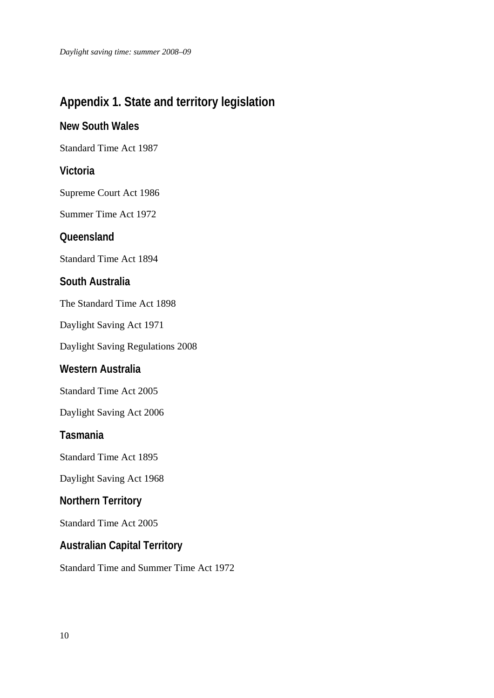# <span id="page-11-0"></span>**Appendix 1. State and territory legislation**

### **New South Wales**

Standard Time Act 1987

### **Victoria**

Supreme Court Act 1986

Summer Time Act 1972

### **Queensland**

Standard Time Act 1894

### **South Australia**

The Standard Time Act 1898

Daylight Saving Act 1971

Daylight Saving Regulations 2008

### **Western Australia**

Standard Time Act 2005

Daylight Saving Act 2006

#### **Tasmania**

Standard Time Act 1895

Daylight Saving Act 1968

### **Northern Territory**

Standard Time Act 2005

## **Australian Capital Territory**

Standard Time and Summer Time Act 1972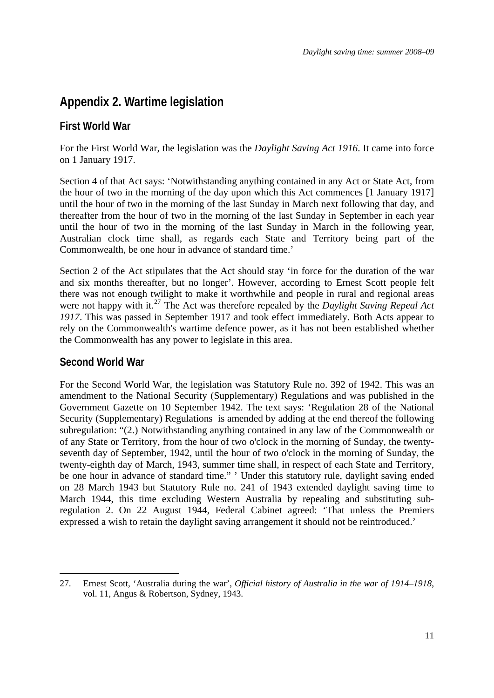## <span id="page-12-0"></span>**Appendix 2. Wartime legislation**

### **First World War**

For the First World War, the legislation was the *Daylight Saving Act 1916*. It came into force on 1 January 1917.

Section 4 of that Act says: 'Notwithstanding anything contained in any Act or State Act, from the hour of two in the morning of the day upon which this Act commences [1 January 1917] until the hour of two in the morning of the last Sunday in March next following that day, and thereafter from the hour of two in the morning of the last Sunday in September in each year until the hour of two in the morning of the last Sunday in March in the following year, Australian clock time shall, as regards each State and Territory being part of the Commonwealth, be one hour in advance of standard time.'

Section 2 of the Act stipulates that the Act should stay 'in force for the duration of the war and six months thereafter, but no longer'. However, according to Ernest Scott people felt there was not enough twilight to make it worthwhile and people in rural and regional areas were not happy with it.<sup>[27](#page-12-0)</sup> The Act was therefore repealed by the *Daylight Saving Repeal Act 1917*. This was passed in September 1917 and took effect immediately. Both Acts appear to rely on the Commonwealth's wartime defence power, as it has not been established whether the Commonwealth has any power to legislate in this area.

### **Second World War**

For the Second World War, the legislation was Statutory Rule no. 392 of 1942. This was an amendment to the National Security (Supplementary) Regulations and was published in the Government Gazette on 10 September 1942. The text says: 'Regulation 28 of the National Security (Supplementary) Regulations is amended by adding at the end thereof the following subregulation: "(2.) Notwithstanding anything contained in any law of the Commonwealth or of any State or Territory, from the hour of two o'clock in the morning of Sunday, the twentyseventh day of September, 1942, until the hour of two o'clock in the morning of Sunday, the twenty-eighth day of March, 1943, summer time shall, in respect of each State and Territory, be one hour in advance of standard time." ' Under this statutory rule, daylight saving ended on 28 March 1943 but Statutory Rule no. 241 of 1943 extended daylight saving time to March 1944, this time excluding Western Australia by repealing and substituting subregulation 2. On 22 August 1944, Federal Cabinet agreed: 'That unless the Premiers expressed a wish to retain the daylight saving arrangement it should not be reintroduced.'

<sup>1</sup> 27. Ernest Scott, 'Australia during the war', *Official history of Australia in the war of 1914–1918*, vol. 11, Angus & Robertson, Sydney, 1943.